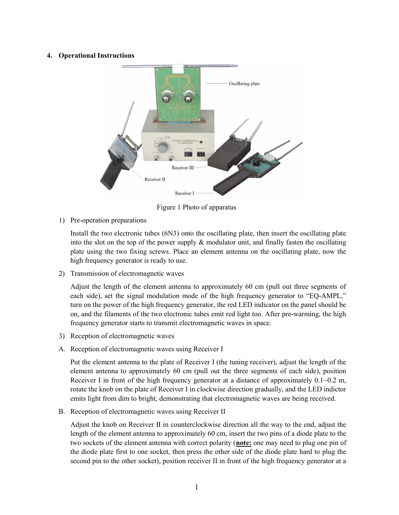## 4. Operational Instructions



Figure 1 Photo of apparatus

1) Pre-operation preparations

Install the two electronic tubes (6N3) onto the oscillating plate, then insert the oscillating plate into the slot on the top of the power supply & modulator unit, and finally fasten the oscillating plate using the two fixing screws. Place an element antenna on the oscillating plate, now the high frequency generator is ready to use.

2) Transmission of electromagnetic waves

Adjust the length of the element antenna to approximately 60 cm (pull out three segments of each side), set the signal modulation mode of the high frequency generator to "EQ-AMPL," turn on the power of the high frequency generator, the red LED indicator on the panel should be on, and the filaments of the two electronic tubes emit red light too. After pre-warming, the high frequency generator starts to transmit electromagnetic waves in space.

- 3) Reception of electromagnetic waves
- A. Reception of electromagnetic waves using Receiver I

Put the element antenna to the plate of Receiver I (the tuning receiver), adjust the length of the element antenna to approximately 60 cm (pull out the three segments of each side), position Receiver I in front of the high frequency generator at a distance of approximately  $0.1 \sim 0.2$  m, rotate the knob on the plate of Receiver I in clockwise direction gradually, and the LED indictor emits light from dim to bright, demonstrating that electromagnetic waves are being received.

B. Reception of electromagnetic waves using Receiver II

Adjust the knob on Receiver II in counterclockwise direction all the way to the end, adjust the length of the element antenna to approximately 60 cm, insert the two pins of a diode plate to the two sockets of the element antenna with correct polarity (note: one may need to plug one pin of the diode plate first to one socket, then press the other side of the diode plate hard to plug the second pin to the other socket), position receiver II in front of the high frequency generator at a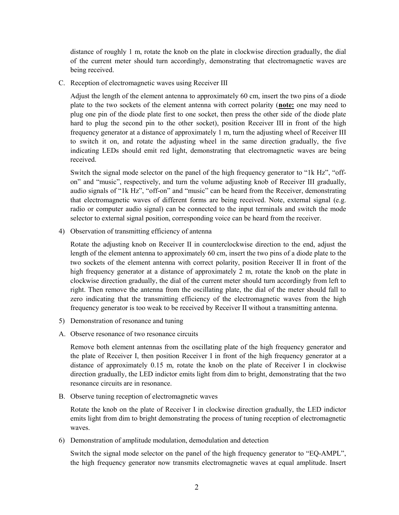distance of roughly 1 m, rotate the knob on the plate in clockwise direction gradually, the dial of the current meter should turn accordingly, demonstrating that electromagnetic waves are being received.

C. Reception of electromagnetic waves using Receiver III

Adjust the length of the element antenna to approximately 60 cm, insert the two pins of a diode plate to the two sockets of the element antenna with correct polarity (note: one may need to plug one pin of the diode plate first to one socket, then press the other side of the diode plate hard to plug the second pin to the other socket), position Receiver III in front of the high frequency generator at a distance of approximately 1 m, turn the adjusting wheel of Receiver III to switch it on, and rotate the adjusting wheel in the same direction gradually, the five indicating LEDs should emit red light, demonstrating that electromagnetic waves are being received.

Switch the signal mode selector on the panel of the high frequency generator to "1k Hz", "offon" and "music", respectively, and turn the volume adjusting knob of Receiver III gradually, audio signals of "1k Hz", "off-on" and "music" can be heard from the Receiver, demonstrating that electromagnetic waves of different forms are being received. Note, external signal (e.g. radio or computer audio signal) can be connected to the input terminals and switch the mode selector to external signal position, corresponding voice can be heard from the receiver.

4) Observation of transmitting efficiency of antenna

Rotate the adjusting knob on Receiver II in counterclockwise direction to the end, adjust the length of the element antenna to approximately 60 cm, insert the two pins of a diode plate to the two sockets of the element antenna with correct polarity, position Receiver II in front of the high frequency generator at a distance of approximately 2 m, rotate the knob on the plate in clockwise direction gradually, the dial of the current meter should turn accordingly from left to right. Then remove the antenna from the oscillating plate, the dial of the meter should fall to zero indicating that the transmitting efficiency of the electromagnetic waves from the high frequency generator is too weak to be received by Receiver II without a transmitting antenna.

- 5) Demonstration of resonance and tuning
- A. Observe resonance of two resonance circuits

Remove both element antennas from the oscillating plate of the high frequency generator and the plate of Receiver I, then position Receiver I in front of the high frequency generator at a distance of approximately 0.15 m, rotate the knob on the plate of Receiver I in clockwise direction gradually, the LED indictor emits light from dim to bright, demonstrating that the two resonance circuits are in resonance.

B. Observe tuning reception of electromagnetic waves

Rotate the knob on the plate of Receiver I in clockwise direction gradually, the LED indictor emits light from dim to bright demonstrating the process of tuning reception of electromagnetic waves.

6) Demonstration of amplitude modulation, demodulation and detection

Switch the signal mode selector on the panel of the high frequency generator to "EQ-AMPL", the high frequency generator now transmits electromagnetic waves at equal amplitude. Insert